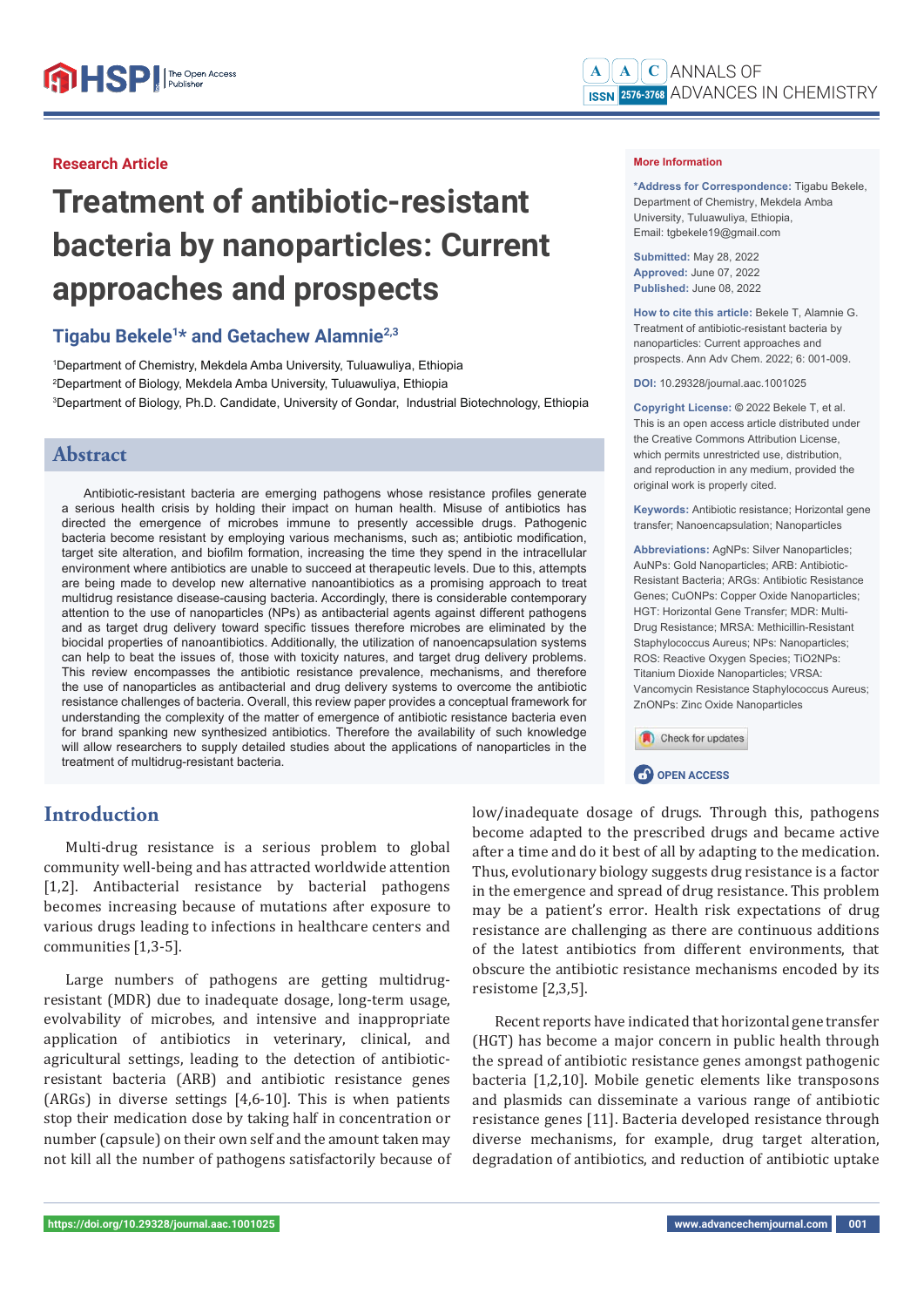## **Research Article**

# **Treatment of antibiotic-resistant bacteria by nanoparticles: Current approaches and prospects**

# **Tigabu Bekele1\* and Getachew Alamnie2,3**

1 Department of Chemistry, Mekdela Amba University, Tuluawuliya, Ethiopia 2 Department of Biology, Mekdela Amba University, Tuluawuliya, Ethiopia 3 Department of Biology, Ph.D. Candidate, University of Gondar, Industrial Biotechnology, Ethiopia

# **Abstract**

Antibiotic-resistant bacteria are emerging pathogens whose resistance profiles generate a serious health crisis by holding their impact on human health. Misuse of antibiotics has directed the emergence of microbes immune to presently accessible drugs. Pathogenic bacteria become resistant by employing various mechanisms, such as; antibiotic modification, target site alteration, and biofilm formation, increasing the time they spend in the intracellular environment where antibiotics are unable to succeed at therapeutic levels. Due to this, attempts are being made to develop new alternative nanoantibiotics as a promising approach to treat multidrug resistance disease-causing bacteria. Accordingly, there is considerable contemporary attention to the use of nanoparticles (NPs) as antibacterial agents against different pathogens and as target drug delivery toward specific tissues therefore microbes are eliminated by the biocidal properties of nanoantibiotics. Additionally, the utilization of nanoencapsulation systems can help to beat the issues of, those with toxicity natures, and target drug delivery problems. This review encompasses the antibiotic resistance prevalence, mechanisms, and therefore the use of nanoparticles as antibacterial and drug delivery systems to overcome the antibiotic resistance challenges of bacteria. Overall, this review paper provides a conceptual framework for understanding the complexity of the matter of emergence of antibiotic resistance bacteria even for brand spanking new synthesized antibiotics. Therefore the availability of such knowledge will allow researchers to supply detailed studies about the applications of nanoparticles in the treatment of multidrug-resistant bacteria.

# **Introduction**

Multi-drug resistance is a serious problem to global community well-being and has attracted worldwide attention [1,2]. Antibacterial resistance by bacterial pathogens becomes increasing because of mutations after exposure to various drugs leading to infections in healthcare centers and communities [1,3-5].

Large numbers of pathogens are getting multidrugresistant (MDR) due to inadequate dosage, long-term usage, evolvability of microbes, and intensive and inappropriate application of antibiotics in veterinary, clinical, and agricultural settings, leading to the detection of antibioticresistant bacteria (ARB) and antibiotic resistance genes (ARGs) in diverse settings [4,6-10]. This is when patients stop their medication dose by taking half in concentration or number (capsule) on their own self and the amount taken may not kill all the number of pathogens satisfactorily because of

#### **More Information**

**\*Address for Correspondence:** Tigabu Bekele, Department of Chemistry, Mekdela Amba University, Tuluawuliya, Ethiopia, Email: tgbekele19@gmail.com

**Submitted:** May 28, 2022 **Approved:** June 07, 2022 **Published:** June 08, 2022

**How to cite this article:** Bekele T, Alamnie G. Treatment of antibiotic-resistant bacteria by nanoparticles: Current approaches and prospects. Ann Adv Chem. 2022; 6: 001-009.

**DOI:** 10.29328/journal.aac.1001025

**Copyright License: ©** 2022 Bekele T, et al. This is an open access article distributed under the Creative Commons Attribution License, which permits unrestricted use, distribution and reproduction in any medium, provided the original work is properly cited.

**Keywords:** Antibiotic resistance; Horizontal gene transfer; Nanoencapsulation; Nanoparticles

**Abbreviations:** AgNPs: Silver Nanoparticles; AuNPs: Gold Nanoparticles; ARB: Antibiotic-Resistant Bacteria; ARGs: Antibiotic Resistance Genes; CuONPs: Copper Oxide Nanoparticles; HGT: Horizontal Gene Transfer; MDR: Multi-Drug Resistance; MRSA: Methicillin-Resistant Staphylococcus Aureus; NPs: Nanoparticles; ROS: Reactive Oxygen Species; TiO2NPs: Titanium Dioxide Nanoparticles; VRSA: Vancomycin Resistance Staphylococcus Aureus; ZnONPs: Zinc Oxide Nanoparticles

Check for updates

## **CP** OPEN ACCESS

low/inadequate dosage of drugs. Through this, pathogens become adapted to the prescribed drugs and became active after a time and do it best of all by adapting to the medication. Thus, evolutionary biology suggests drug resistance is a factor in the emergence and spread of drug resistance. This problem may be a patient's error. Health risk expectations of drug resistance are challenging as there are continuous additions of the latest antibiotics from different environments, that obscure the antibiotic resistance mechanisms encoded by its resistome [2,3,5].

Recent reports have indicated that horizontal gene transfer (HGT) has become a major concern in public health through the spread of antibiotic resistance genes amongst pathogenic bacteria [1,2,10]. Mobile genetic elements like transposons and plasmids can disseminate a various range of antibiotic resistance genes [11]. Bacteria developed resistance through diverse mechanisms, for example, drug target alteration, degradation of antibiotics, and reduction of antibiotic uptake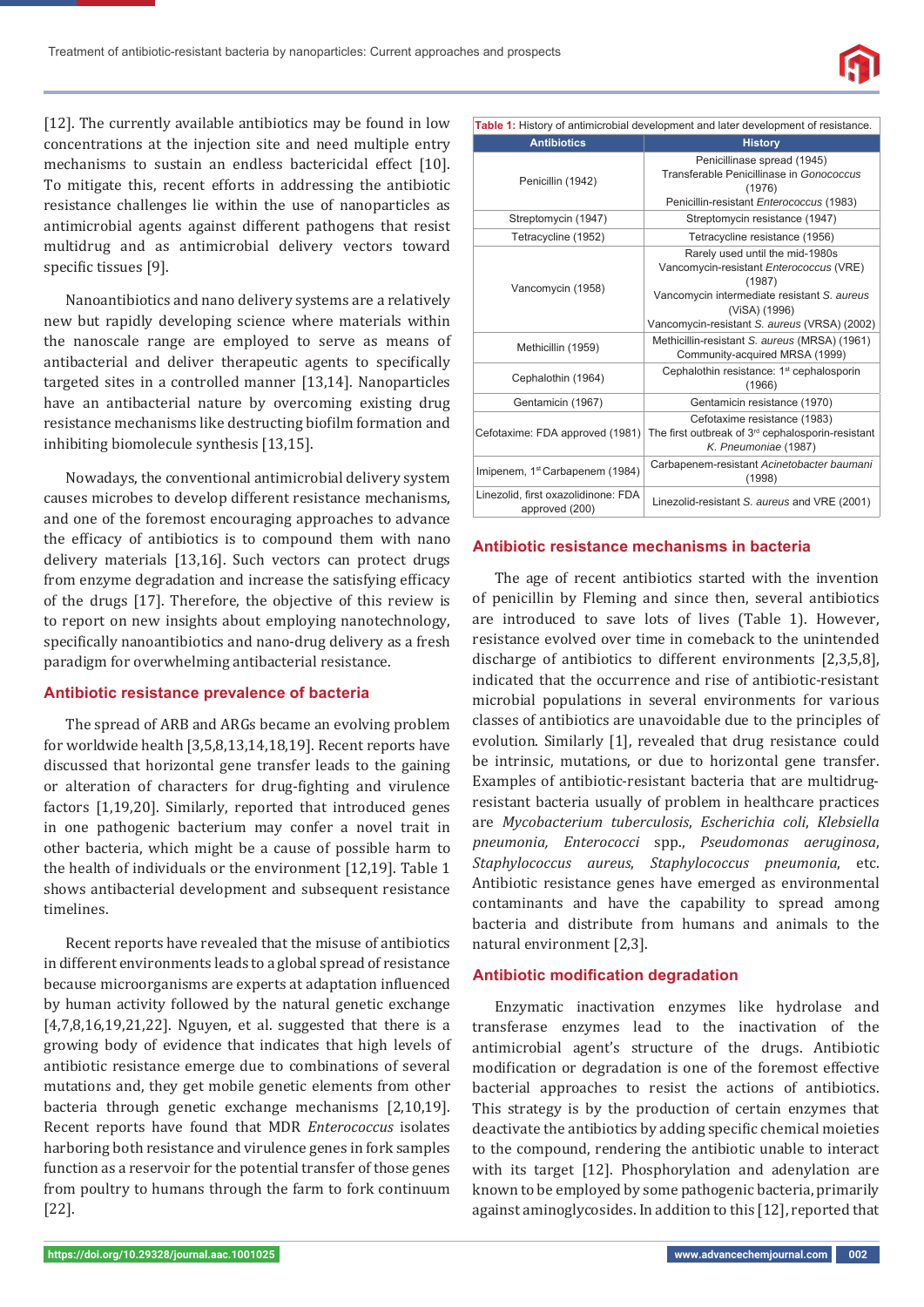

[12]. The currently available antibiotics may be found in low concentrations at the injection site and need multiple entry mechanisms to sustain an endless bactericidal effect [10]. To mitigate this, recent efforts in addressing the antibiotic resistance challenges lie within the use of nanoparticles as antimicrobial agents against different pathogens that resist multidrug and as antimicrobial delivery vectors toward specific tissues [9].

Nanoantibiotics and nano delivery systems are a relatively new but rapidly developing science where materials within the nanoscale range are employed to serve as means of antibacterial and deliver therapeutic agents to specifically targeted sites in a controlled manner [13,14]. Nanoparticles have an antibacterial nature by overcoming existing drug resistance mechanisms like destructing biofilm formation and inhibiting biomolecule synthesis [13,15].

Nowadays, the conventional antimicrobial delivery system causes microbes to develop different resistance mechanisms, and one of the foremost encouraging approaches to advance the efficacy of antibiotics is to compound them with nano delivery materials [13,16]. Such vectors can protect drugs from enzyme degradation and increase the satisfying efficacy of the drugs [17]. Therefore, the objective of this review is to report on new insights about employing nanotechnology, specifically nanoantibiotics and nano-drug delivery as a fresh paradigm for overwhelming antibacterial resistance.

## **Antibiotic resistance prevalence of bacteria**

The spread of ARB and ARGs became an evolving problem for worldwide health [3,5,8,13,14,18,19]. Recent reports have discussed that horizontal gene transfer leads to the gaining or alteration of characters for drug-fighting and virulence factors [1,19,20]. Similarly, reported that introduced genes in one pathogenic bacterium may confer a novel trait in other bacteria, which might be a cause of possible harm to the health of individuals or the environment [12,19]. Table 1 shows antibacterial development and subsequent resistance timelines.

Recent reports have revealed that the misuse of antibiotics in different environments leads to a global spread of resistance because microorganisms are experts at adaptation influenced by human activity followed by the natural genetic exchange [4,7,8,16,19,21,22]. Nguyen, et al. suggested that there is a growing body of evidence that indicates that high levels of antibiotic resistance emerge due to combinations of several mutations and, they get mobile genetic elements from other bacteria through genetic exchange mechanisms [2,10,19]. Recent reports have found that MDR *Enterococcus* isolates harboring both resistance and virulence genes in fork samples function as a reservoir for the potential transfer of those genes from poultry to humans through the farm to fork continuum [22].

| Table 1: History of antimicrobial development and later development of resistance. |                                                                                                                                                                                                      |  |  |
|------------------------------------------------------------------------------------|------------------------------------------------------------------------------------------------------------------------------------------------------------------------------------------------------|--|--|
| <b>Antibiotics</b>                                                                 | <b>History</b>                                                                                                                                                                                       |  |  |
| Penicillin (1942)                                                                  | Penicillinase spread (1945)<br>Transferable Penicillinase in Gonococcus<br>(1976)<br>Penicillin-resistant Enterococcus (1983)                                                                        |  |  |
| Streptomycin (1947)                                                                | Streptomycin resistance (1947)                                                                                                                                                                       |  |  |
| Tetracycline (1952)                                                                | Tetracycline resistance (1956)                                                                                                                                                                       |  |  |
| Vancomycin (1958)                                                                  | Rarely used until the mid-1980s<br>Vancomycin-resistant Enterococcus (VRE)<br>(1987)<br>Vancomycin intermediate resistant S. aureus<br>(ViSA) (1996)<br>Vancomycin-resistant S. aureus (VRSA) (2002) |  |  |
| Methicillin (1959)                                                                 | Methicillin-resistant S. aureus (MRSA) (1961)<br>Community-acquired MRSA (1999)                                                                                                                      |  |  |
| Cephalothin (1964)                                                                 | Cephalothin resistance: 1 <sup>st</sup> cephalosporin<br>(1966)                                                                                                                                      |  |  |
| Gentamicin (1967)                                                                  | Gentamicin resistance (1970)                                                                                                                                                                         |  |  |
| Cefotaxime: FDA approved (1981)                                                    | Cefotaxime resistance (1983)<br>The first outbreak of 3 <sup>rd</sup> cephalosporin-resistant<br>K. Pneumoniae (1987)                                                                                |  |  |
| Imipenem, 1 <sup>st</sup> Carbapenem (1984)                                        | Carbapenem-resistant Acinetobacter baumani<br>(1998)                                                                                                                                                 |  |  |
| Linezolid, first oxazolidinone: FDA<br>approved (200)                              | Linezolid-resistant S. aureus and VRE (2001)                                                                                                                                                         |  |  |

## **Antibiotic resistance mechanisms in bacteria**

The age of recent antibiotics started with the invention of penicillin by Fleming and since then, several antibiotics are introduced to save lots of lives (Table 1). However, resistance evolved over time in comeback to the unintended discharge of antibiotics to different environments [2,3,5,8], indicated that the occurrence and rise of antibiotic-resistant microbial populations in several environments for various classes of antibiotics are unavoidable due to the principles of evolution. Similarly [1], revealed that drug resistance could be intrinsic, mutations, or due to horizontal gene transfer. Examples of antibiotic-resistant bacteria that are multidrugresistant bacteria usually of problem in healthcare practices are *Mycobacterium tuberculosis*, *Escherichia coli*, *Klebsiella pneumonia, Enterococci* spp., *Pseudomonas aeruginosa*, *Staphylococcus aureus*, *Staphylococcus pneumonia*, etc. Antibiotic resistance genes have emerged as environmental contaminants and have the capability to spread among bacteria and distribute from humans and animals to the natural environment [2,3].

## **Antibiotic modification degradation**

Enzymatic inactivation enzymes like hydrolase and transferase enzymes lead to the inactivation of the antimicrobial agent's structure of the drugs. Antibiotic modification or degradation is one of the foremost effective bacterial approaches to resist the actions of antibiotics. This strategy is by the production of certain enzymes that deactivate the antibiotics by adding specific chemical moieties to the compound, rendering the antibiotic unable to interact with its target [12]. Phosphorylation and adenylation are known to be employed by some pathogenic bacteria, primarily against aminoglycosides. In addition to this [12], reported that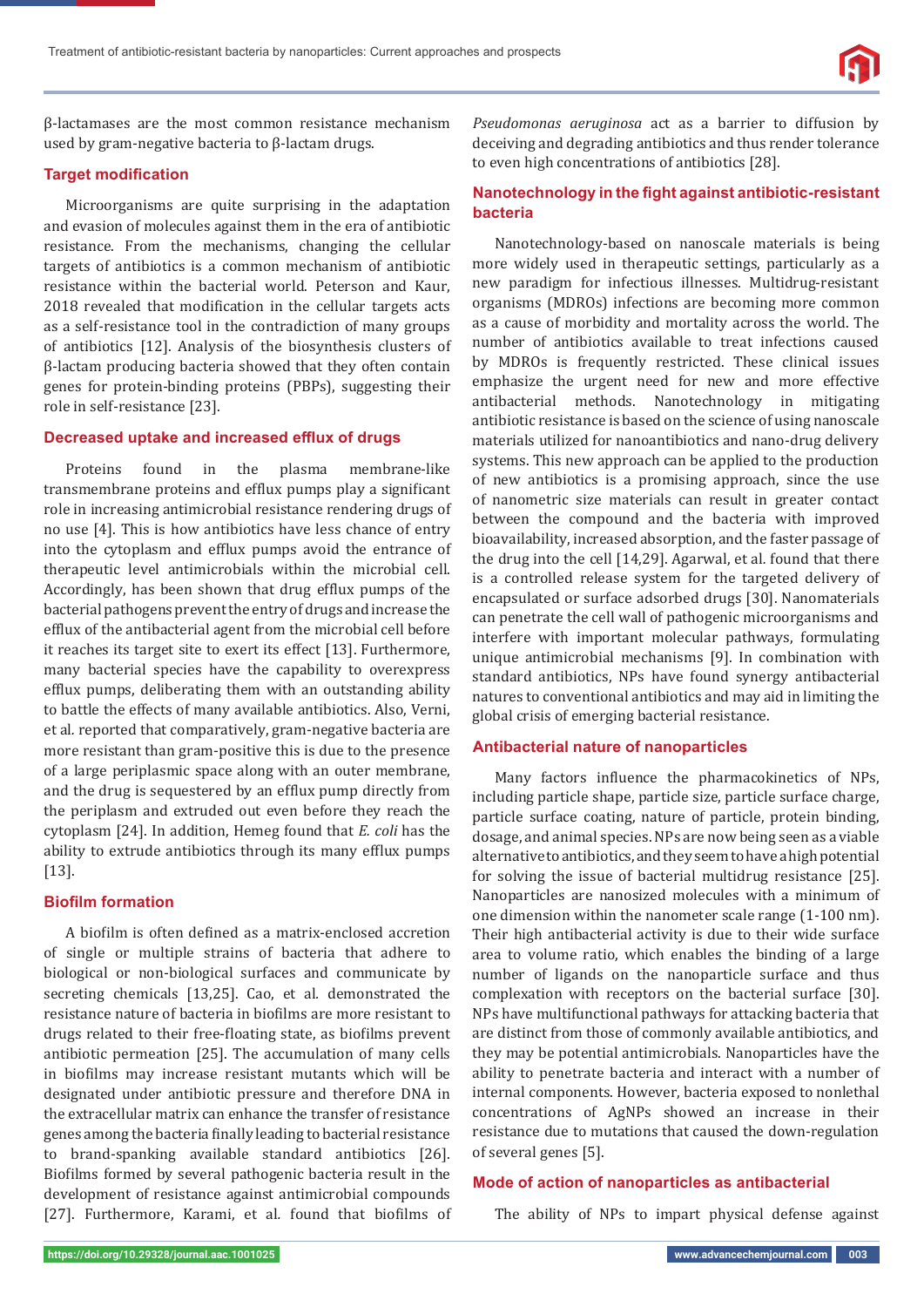

β-lactamases are the most common resistance mechanism used by gram-negative bacteria to β-lactam drugs.

#### **Target modification**

Microorganisms are quite surprising in the adaptation and evasion of molecules against them in the era of antibiotic resistance. From the mechanisms, changing the cellular targets of antibiotics is a common mechanism of antibiotic resistance within the bacterial world. Peterson and Kaur, 2018 revealed that modification in the cellular targets acts as a self-resistance tool in the contradiction of many groups of antibiotics [12]. Analysis of the biosynthesis clusters of β-lactam producing bacteria showed that they often contain genes for protein-binding proteins (PBPs), suggesting their role in self-resistance [23].

## **Decreased uptake and increased efflux of drugs**

Proteins found in the plasma membrane-like transmembrane proteins and efflux pumps play a significant role in increasing antimicrobial resistance rendering drugs of no use [4]. This is how antibiotics have less chance of entry into the cytoplasm and efflux pumps avoid the entrance of therapeutic level antimicrobials within the microbial cell. Accordingly, has been shown that drug efflux pumps of the bacterial pathogens prevent the entry of drugs and increase the efflux of the antibacterial agent from the microbial cell before it reaches its target site to exert its effect [13]. Furthermore, many bacterial species have the capability to overexpress efflux pumps, deliberating them with an outstanding ability to battle the effects of many available antibiotics. Also, Verni, et al*.* reported that comparatively, gram-negative bacteria are more resistant than gram-positive this is due to the presence of a large periplasmic space along with an outer membrane, and the drug is sequestered by an efflux pump directly from the periplasm and extruded out even before they reach the cytoplasm [24]. In addition, Hemeg found that *E. coli* has the ability to extrude antibiotics through its many efflux pumps [13].

#### **Biofilm formation**

A biofilm is often defined as a matrix-enclosed accretion of single or multiple strains of bacteria that adhere to biological or non-biological surfaces and communicate by secreting chemicals [13,25]. Cao, et al*.* demonstrated the resistance nature of bacteria in bioϐilms are more resistant to drugs related to their free-floating state, as biofilms prevent antibiotic permeation [25]. The accumulation of many cells in biofilms may increase resistant mutants which will be designated under antibiotic pressure and therefore DNA in the extracellular matrix can enhance the transfer of resistance genes among the bacteria finally leading to bacterial resistance to brand-spanking available standard antibiotics [26]. Biofilms formed by several pathogenic bacteria result in the development of resistance against antimicrobial compounds [27]. Furthermore, Karami, et al. found that biofilms of

*Pseudomonas aeruginosa act as a barrier to diffusion by* deceiving and degrading antibiotics and thus render tolerance to even high concentrations of antibiotics [28].

## **Nanotechnology in the fight against antibiotic-resistant bacteria**

Nanotechnology-based on nanoscale materials is being more widely used in therapeutic settings, particularly as a new paradigm for infectious illnesses. Multidrug-resistant organisms (MDROs) infections are becoming more common as a cause of morbidity and mortality across the world. The number of antibiotics available to treat infections caused by MDROs is frequently restricted. These clinical issues emphasize the urgent need for new and more effective antibacterial methods. Nanotechnology in mitigating antibiotic resistance is based on the science of using nanoscale materials utilized for nanoantibiotics and nano-drug delivery systems. This new approach can be applied to the production of new antibiotics is a promising approach, since the use of nanometric size materials can result in greater contact between the compound and the bacteria with improved bioavailability, increased absorption, and the faster passage of the drug into the cell [14,29]. Agarwal, et al*.* found that there is a controlled release system for the targeted delivery of encapsulated or surface adsorbed drugs [30]. Nanomaterials can penetrate the cell wall of pathogenic microorganisms and interfere with important molecular pathways, formulating unique antimicrobial mechanisms [9]. In combination with standard antibiotics, NPs have found synergy antibacterial natures to conventional antibiotics and may aid in limiting the global crisis of emerging bacterial resistance.

#### **Antibacterial nature of nanoparticles**

Many factors influence the pharmacokinetics of NPs, including particle shape, particle size, particle surface charge, particle surface coating, nature of particle, protein binding, dosage, and animal species. NPs are now being seen as a viable alternative to antibiotics, and they seem to have a high potential for solving the issue of bacterial multidrug resistance [25]. Nanoparticles are nanosized molecules with a minimum of one dimension within the nanometer scale range (1-100 nm). Their high antibacterial activity is due to their wide surface area to volume ratio, which enables the binding of a large number of ligands on the nanoparticle surface and thus complexation with receptors on the bacterial surface [30]. NPs have multifunctional pathways for attacking bacteria that are distinct from those of commonly available antibiotics, and they may be potential antimicrobials. Nanoparticles have the ability to penetrate bacteria and interact with a number of internal components. However, bacteria exposed to nonlethal concentrations of AgNPs showed an increase in their resistance due to mutations that caused the down-regulation of several genes [5].

#### **Mode of action of nanoparticles as antibacterial**

The ability of NPs to impart physical defense against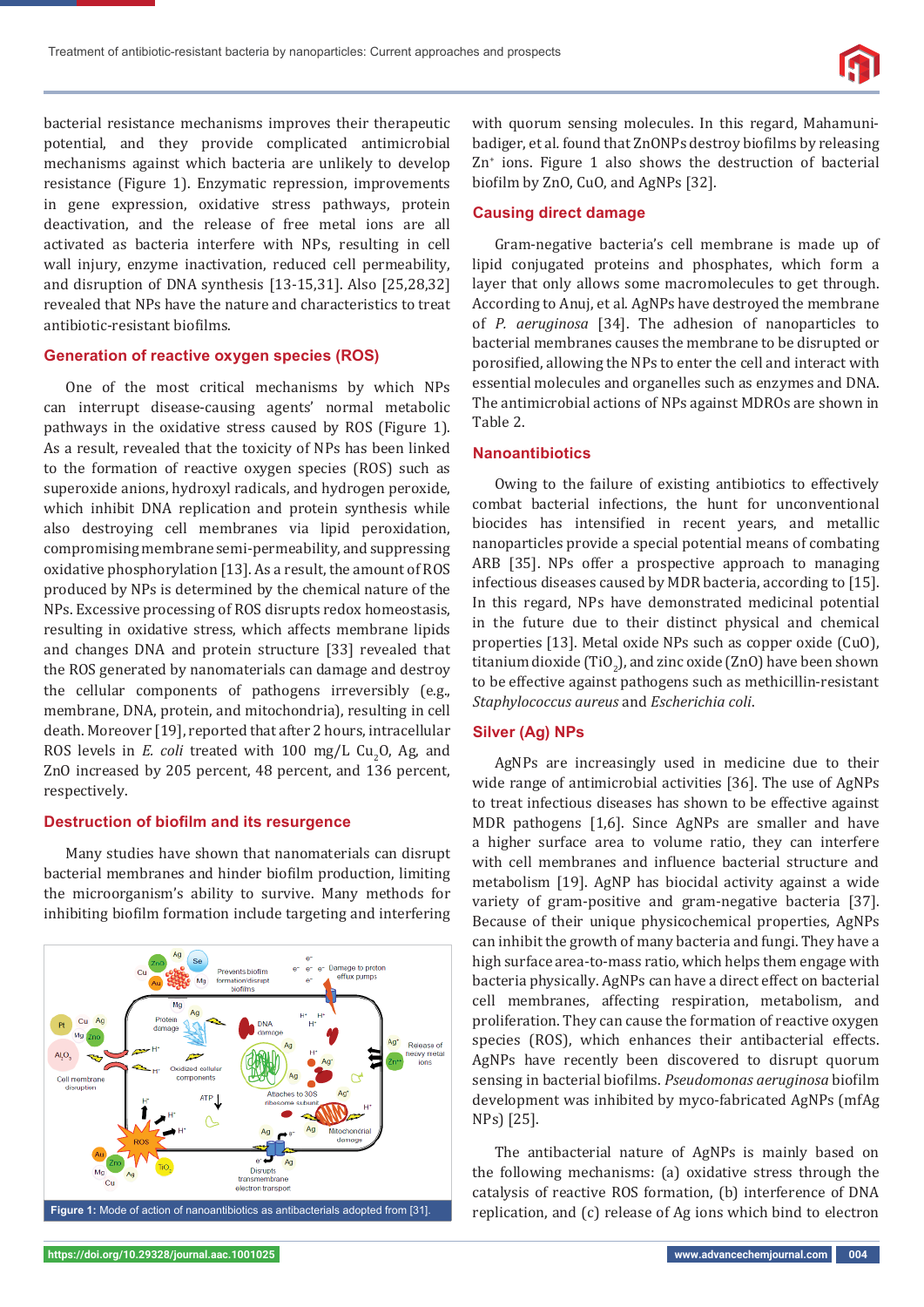

bacterial resistance mechanisms improves their therapeutic potential, and they provide complicated antimicrobial mechanisms against which bacteria are unlikely to develop resistance (Figure 1). Enzymatic repression, improvements in gene expression, oxidative stress pathways, protein deactivation, and the release of free metal ions are all activated as bacteria interfere with NPs, resulting in cell wall injury, enzyme inactivation, reduced cell permeability, and disruption of DNA synthesis [13-15,31]. Also [25,28,32] revealed that NPs have the nature and characteristics to treat antibiotic-resistant biofilms.

#### **Generation of reactive oxygen species (ROS)**

One of the most critical mechanisms by which NPs can interrupt disease-causing agents' normal metabolic pathways in the oxidative stress caused by ROS (Figure 1). As a result, revealed that the toxicity of NPs has been linked to the formation of reactive oxygen species (ROS) such as superoxide anions, hydroxyl radicals, and hydrogen peroxide, which inhibit DNA replication and protein synthesis while also destroying cell membranes via lipid peroxidation, compromising membrane semi-permeability, and suppressing oxidative phosphorylation [13]. As a result, the amount of ROS produced by NPs is determined by the chemical nature of the NPs. Excessive processing of ROS disrupts redox homeostasis, resulting in oxidative stress, which affects membrane lipids and changes DNA and protein structure [33] revealed that the ROS generated by nanomaterials can damage and destroy the cellular components of pathogens irreversibly (e.g., membrane, DNA, protein, and mitochondria), resulting in cell death. Moreover [19], reported that after 2 hours, intracellular ROS levels in  $E$ . *coli* treated with 100 mg/L  $Cu<sub>2</sub>O$ , Ag, and ZnO increased by 205 percent, 48 percent, and 136 percent, respectively.

#### **Destruction of biofilm and its resurgence**

Many studies have shown that nanomaterials can disrupt bacterial membranes and hinder biofilm production, limiting the microorganism's ability to survive. Many methods for inhibiting biofilm formation include targeting and interfering



with quorum sensing molecules. In this regard, Mahamunibadiger, et al. found that ZnONPs destroy biofilms by releasing Zn+ ions. Figure 1 also shows the destruction of bacterial biofilm by ZnO, CuO, and AgNPs [32].

## **Causing direct damage**

Gram-negative bacteria's cell membrane is made up of lipid conjugated proteins and phosphates, which form a layer that only allows some macromolecules to get through. According to Anuj, et al*.* AgNPs have destroyed the membrane of *P. aeruginosa* [34]. The adhesion of nanoparticles to bacterial membranes causes the membrane to be disrupted or porosified, allowing the NPs to enter the cell and interact with essential molecules and organelles such as enzymes and DNA. The antimicrobial actions of NPs against MDROs are shown in Table 2.

#### **Nanoantibiotics**

Owing to the failure of existing antibiotics to effectively combat bacterial infections, the hunt for unconventional biocides has intensified in recent years, and metallic nanoparticles provide a special potential means of combating ARB [35]. NPs offer a prospective approach to managing infectious diseases caused by MDR bacteria, according to [15]. In this regard, NPs have demonstrated medicinal potential in the future due to their distinct physical and chemical properties [13]. Metal oxide NPs such as copper oxide (CuO), titanium dioxide (TiO<sub>2</sub>), and zinc oxide (ZnO) have been shown to be effective against pathogens such as methicillin-resistant *Staphylococcus aureus* and *Escherichia coli*.

#### **Silver (Ag) NPs**

AgNPs are increasingly used in medicine due to their wide range of antimicrobial activities [36]. The use of AgNPs to treat infectious diseases has shown to be effective against MDR pathogens [1,6]. Since AgNPs are smaller and have a higher surface area to volume ratio, they can interfere with cell membranes and influence bacterial structure and metabolism [19]. AgNP has biocidal activity against a wide variety of gram-positive and gram-negative bacteria [37]. Because of their unique physicochemical properties, AgNPs can inhibit the growth of many bacteria and fungi. They have a high surface area-to-mass ratio, which helps them engage with bacteria physically. AgNPs can have a direct effect on bacterial cell membranes, affecting respiration, metabolism, and proliferation. They can cause the formation of reactive oxygen species (ROS), which enhances their antibacterial effects. AgNPs have recently been discovered to disrupt quorum sensing in bacterial biofilms. *Pseudomonas aeruginosa* biofilm development was inhibited by myco-fabricated AgNPs (mfAg NPs) [25].

The antibacterial nature of AgNPs is mainly based on the following mechanisms: (a) oxidative stress through the catalysis of reactive ROS formation, (b) interference of DNA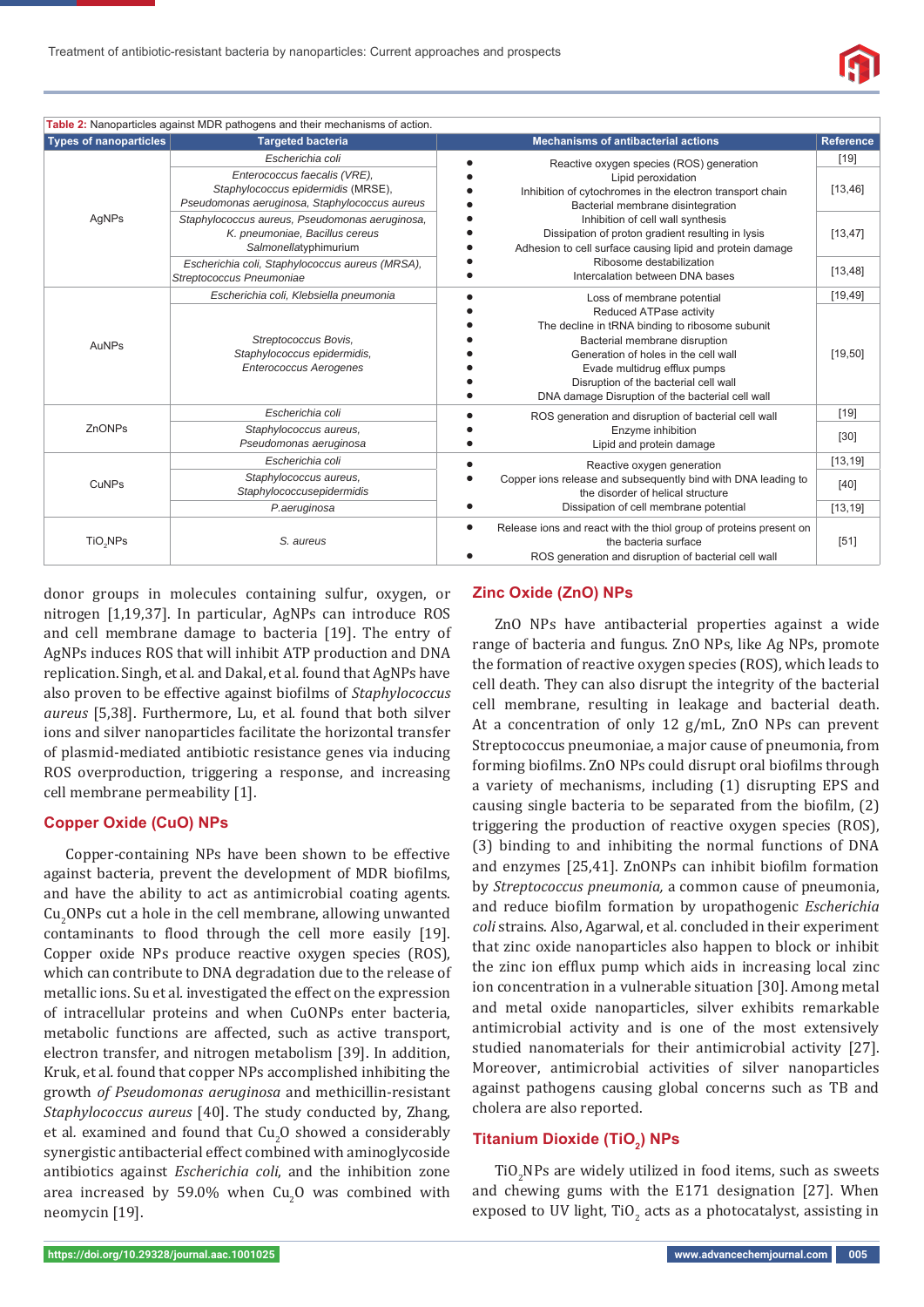

| <b>Types of nanoparticles</b>                                                  | <b>Targeted bacteria</b>                                                                                                                | <b>Mechanisms of antibacterial actions</b>                                                                                                                                                                                                                                       | <b>Reference</b>   |
|--------------------------------------------------------------------------------|-----------------------------------------------------------------------------------------------------------------------------------------|----------------------------------------------------------------------------------------------------------------------------------------------------------------------------------------------------------------------------------------------------------------------------------|--------------------|
| AgNPs                                                                          | Escherichia coli<br>Enterococcus faecalis (VRE),<br>Staphylococcus epidermidis (MRSE),<br>Pseudomonas aeruginosa, Staphylococcus aureus | Reactive oxygen species (ROS) generation<br>Lipid peroxidation<br>Inhibition of cytochromes in the electron transport chain<br>Bacterial membrane disintegration                                                                                                                 | $[19]$<br>[13, 46] |
|                                                                                | Staphylococcus aureus, Pseudomonas aeruginosa,<br>K. pneumoniae, Bacillus cereus<br>Salmonellatyphimurium                               | Inhibition of cell wall synthesis<br>Dissipation of proton gradient resulting in lysis<br>Adhesion to cell surface causing lipid and protein damage<br>Ribosome destabilization<br>Intercalation between DNA bases                                                               | [13, 47]           |
|                                                                                | Escherichia coli, Staphylococcus aureus (MRSA),<br>Streptococcus Pneumoniae                                                             |                                                                                                                                                                                                                                                                                  | [13, 48]           |
|                                                                                | Escherichia coli, Klebsiella pneumonia                                                                                                  | Loss of membrane potential                                                                                                                                                                                                                                                       | [19, 49]           |
| AuNPs                                                                          | Streptococcus Bovis,<br>Staphylococcus epidermidis,<br><b>Enterococcus Aerogenes</b>                                                    | Reduced ATPase activity<br>The decline in tRNA binding to ribosome subunit<br>Bacterial membrane disruption<br>Generation of holes in the cell wall<br>Evade multidrug efflux pumps<br>Disruption of the bacterial cell wall<br>DNA damage Disruption of the bacterial cell wall | [19, 50]           |
| Escherichia coli<br>ZnONPs<br>Staphylococcus aureus,<br>Pseudomonas aeruginosa |                                                                                                                                         | ROS generation and disruption of bacterial cell wall<br>Enzyme inhibition<br>Lipid and protein damage                                                                                                                                                                            | $[19]$             |
|                                                                                |                                                                                                                                         |                                                                                                                                                                                                                                                                                  | $[30]$             |
| <b>CuNPs</b>                                                                   | Escherichia coli                                                                                                                        | Reactive oxygen generation<br>Copper ions release and subsequently bind with DNA leading to<br>the disorder of helical structure<br>Dissipation of cell membrane potential                                                                                                       | [13, 19]           |
|                                                                                | Staphylococcus aureus,<br>Staphylococcusepidermidis                                                                                     |                                                                                                                                                                                                                                                                                  | [40]               |
|                                                                                | P.aeruginosa                                                                                                                            |                                                                                                                                                                                                                                                                                  | [13, 19]           |
| TiO <sub>2</sub> NPs                                                           | S. aureus                                                                                                                               | Release ions and react with the thiol group of proteins present on<br>the bacteria surface<br>ROS generation and disruption of bacterial cell wall                                                                                                                               | $[51]$             |

donor groups in molecules containing sulfur, oxygen, or nitrogen [1,19,37]. In particular, AgNPs can introduce ROS and cell membrane damage to bacteria [19]. The entry of AgNPs induces ROS that will inhibit ATP production and DNA replication. Singh, et al*.* and Dakal, et al*.* found that AgNPs have also proven to be effective against bioϐilms of *Staphylococcus aureus* [5,38]. Furthermore, Lu, et al*.* found that both silver ions and silver nanoparticles facilitate the horizontal transfer of plasmid-mediated antibiotic resistance genes via inducing ROS overproduction, triggering a response, and increasing cell membrane permeability [1].

## **Copper Oxide (CuO) NPs**

Copper-containing NPs have been shown to be effective against bacteria, prevent the development of MDR biofilms, and have the ability to act as antimicrobial coating agents.  $Cu<sub>2</sub>ONPs$  cut a hole in the cell membrane, allowing unwanted contaminants to flood through the cell more easily [19]. Copper oxide NPs produce reactive oxygen species (ROS), which can contribute to DNA degradation due to the release of metallic ions. Su et al*.* investigated the effect on the expression of intracellular proteins and when CuONPs enter bacteria, metabolic functions are affected, such as active transport, electron transfer, and nitrogen metabolism [39]. In addition, Kruk, et al*.* found that copper NPs accomplished inhibiting the growth *of Pseudomonas aeruginosa* and methicillin-resistant *Staphylococcus aureus* [40]. The study conducted by, Zhang, et al. examined and found that Cu<sub>2</sub>O showed a considerably synergistic antibacterial effect combined with aminoglycoside antibiotics against *Escherichia coli*, and the inhibition zone area increased by 59.0% when  $Cu<sub>2</sub>O$  was combined with neomycin [19].

## **Zinc Oxide (ZnO) NPs**

ZnO NPs have antibacterial properties against a wide range of bacteria and fungus. ZnO NPs, like Ag NPs, promote the formation of reactive oxygen species (ROS), which leads to cell death. They can also disrupt the integrity of the bacterial cell membrane, resulting in leakage and bacterial death. At a concentration of only 12 g/mL, ZnO NPs can prevent Streptococcus pneumoniae, a major cause of pneumonia, from forming biofilms. ZnO NPs could disrupt oral biofilms through a variety of mechanisms, including (1) disrupting EPS and causing single bacteria to be separated from the biofilm, (2) triggering the production of reactive oxygen species (ROS), (3) binding to and inhibiting the normal functions of DNA and enzymes [25,41]. ZnONPs can inhibit biofilm formation by *Streptococcus pneumonia,* a common cause of pneumonia, and reduce bioϐilm formation by uropathogenic *Escherichia coli* strains. Also, Agarwal, et al*.* concluded in their experiment that zinc oxide nanoparticles also happen to block or inhibit the zinc ion efflux pump which aids in increasing local zinc ion concentration in a vulnerable situation [30]. Among metal and metal oxide nanoparticles, silver exhibits remarkable antimicrobial activity and is one of the most extensively studied nanomaterials for their antimicrobial activity [27]. Moreover, antimicrobial activities of silver nanoparticles against pathogens causing global concerns such as TB and cholera are also reported.

# **Titanium Dioxide (TiO<sub>2</sub>) NPs**

 $\rm TiO_2 NPs$  are widely utilized in food items, such as sweets and chewing gums with the E171 designation [27]. When exposed to UV light, TiO<sub>2</sub> acts as a photocatalyst, assisting in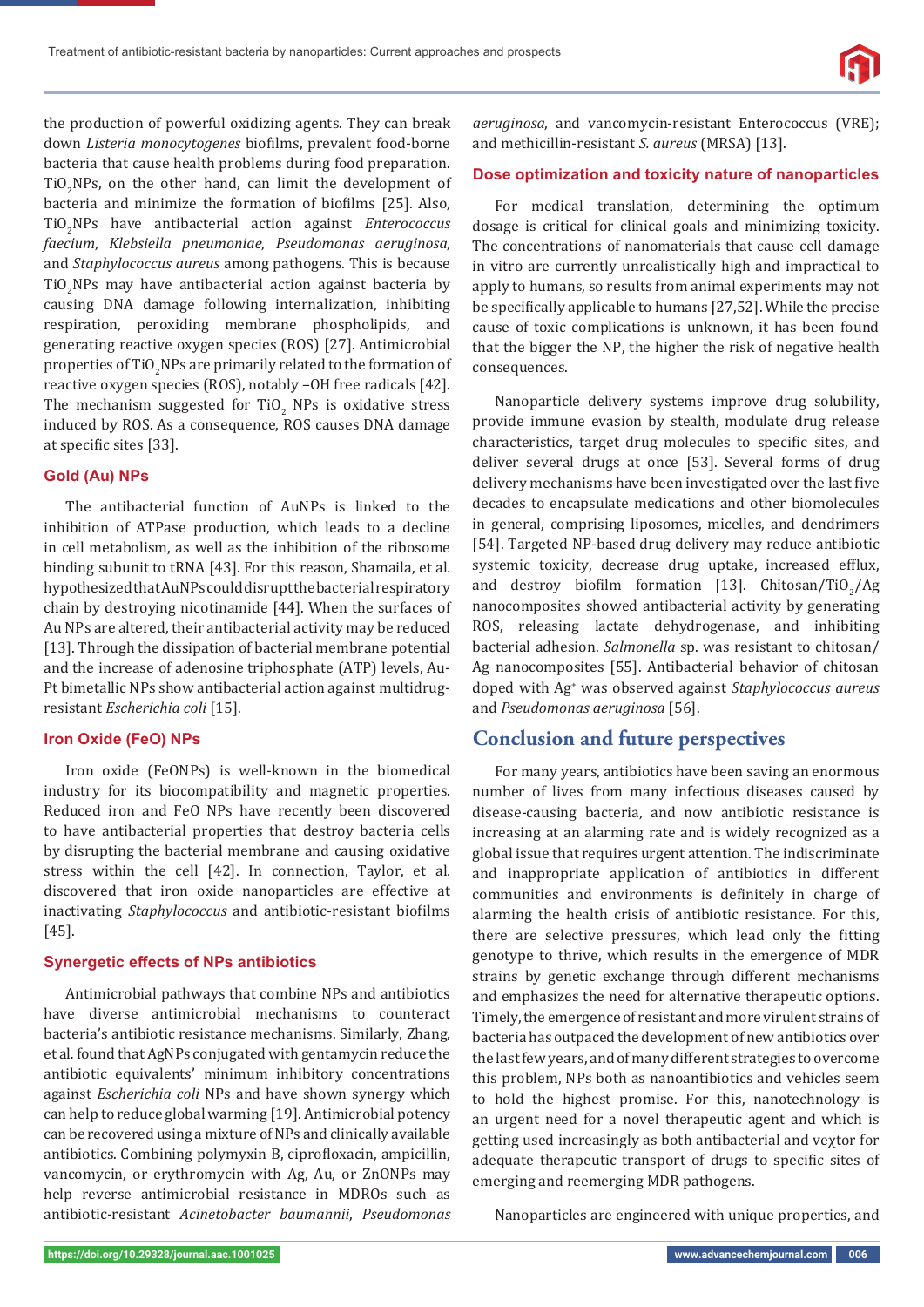

the production of powerful oxidizing agents. They can break down *Listeria monocytogenes* biofilms, prevalent food-borne bacteria that cause health problems during food preparation.  $TiO_2$ NPs, on the other hand, can limit the development of bacteria and minimize the formation of biofilms [25]. Also, TiO2 NPs have antibacterial action against *Enterococcus faecium*, *Klebsiella pneumoniae*, *Pseudomonas aeruginosa*, and *Staphylococcus aureus* among pathogens. This is because  $TiO_2$ NPs may have antibacterial action against bacteria by causing DNA damage following internalization, inhibiting respiration, peroxiding membrane phospholipids, and generating reactive oxygen species (ROS) [27]. Antimicrobial properties of TiO $_{\rm 2}$ NPs are primarily related to the formation of reactive oxygen species (ROS), notably –OH free radicals [42]. The mechanism suggested for TiO<sub>2</sub> NPs is oxidative stress induced by ROS. As a consequence, ROS causes DNA damage at specific sites [33].

## **Gold (Au) NPs**

The antibacterial function of AuNPs is linked to the inhibition of ATPase production, which leads to a decline in cell metabolism, as well as the inhibition of the ribosome binding subunit to tRNA [43]. For this reason, Shamaila, et al*.* hypothesized that AuNPs could disrupt the bacterial respiratory chain by destroying nicotinamide [44]. When the surfaces of Au NPs are altered, their antibacterial activity may be reduced [13]. Through the dissipation of bacterial membrane potential and the increase of adenosine triphosphate (ATP) levels, Au-Pt bimetallic NPs show antibacterial action against multidrugresistant *Escherichia coli* [15].

## **Iron Oxide (FeO) NPs**

Iron oxide (FeONPs) is well-known in the biomedical industry for its biocompatibility and magnetic properties. Reduced iron and FeO NPs have recently been discovered to have antibacterial properties that destroy bacteria cells by disrupting the bacterial membrane and causing oxidative stress within the cell [42]. In connection, Taylor, et al*.* discovered that iron oxide nanoparticles are effective at inactivating *Staphylococcus* and antibiotic-resistant biofilms [45].

## **Synergetic effects of NPs antibiotics**

Antimicrobial pathways that combine NPs and antibiotics have diverse antimicrobial mechanisms to counteract bacteria's antibiotic resistance mechanisms. Similarly, Zhang, et al*.* found that AgNPs conjugated with gentamycin reduce the antibiotic equivalents' minimum inhibitory concentrations against *Escherichia coli* NPs and have shown synergy which can help to reduce global warming [19]. Antimicrobial potency can be recovered using a mixture of NPs and clinically available antibiotics. Combining polymyxin B, ciprofloxacin, ampicillin, vancomycin, or erythromycin with Ag, Au, or ZnONPs may help reverse antimicrobial resistance in MDROs such as antibiotic-resistant *Acinetobacter baumannii*, *Pseudomonas*  *aeruginosa*, and vancomycin-resistant Enterococcus (VRE); and methicillin-resistant *S. aureus* (MRSA) [13].

## **Dose optimization and toxicity nature of nanoparticles**

For medical translation, determining the optimum dosage is critical for clinical goals and minimizing toxicity. The concentrations of nanomaterials that cause cell damage in vitro are currently unrealistically high and impractical to apply to humans, so results from animal experiments may not be specifically applicable to humans [27,52]. While the precise cause of toxic complications is unknown, it has been found that the bigger the NP, the higher the risk of negative health consequences.

Nanoparticle delivery systems improve drug solubility, provide immune evasion by stealth, modulate drug release characteristics, target drug molecules to specific sites, and deliver several drugs at once [53]. Several forms of drug delivery mechanisms have been investigated over the last five decades to encapsulate medications and other biomolecules in general, comprising liposomes, micelles, and dendrimers [54]. Targeted NP-based drug delivery may reduce antibiotic systemic toxicity, decrease drug uptake, increased efflux, and destroy biofilm formation [13]. Chitosan/TiO<sub>2</sub>/Ag nanocomposites showed antibacterial activity by generating ROS, releasing lactate dehydrogenase, and inhibiting bacterial adhesion. *Salmonella* sp. was resistant to chitosan/ Ag nanocomposites [55]. Antibacterial behavior of chitosan doped with Ag+ was observed against *Staphylococcus aureus*  and *Pseudomonas aeruginosa* [56].

# **Conclusion and future perspectives**

For many years, antibiotics have been saving an enormous number of lives from many infectious diseases caused by disease-causing bacteria, and now antibiotic resistance is increasing at an alarming rate and is widely recognized as a global issue that requires urgent attention. The indiscriminate and inappropriate application of antibiotics in different communities and environments is definitely in charge of alarming the health crisis of antibiotic resistance. For this, there are selective pressures, which lead only the fitting genotype to thrive, which results in the emergence of MDR strains by genetic exchange through different mechanisms and emphasizes the need for alternative therapeutic options. Timely, the emergence of resistant and more virulent strains of bacteria has outpaced the development of new antibiotics over the last few years, and of many different strategies to overcome this problem, NPs both as nanoantibiotics and vehicles seem to hold the highest promise. For this, nanotechnology is an urgent need for a novel therapeutic agent and which is getting used increasingly as both antibacterial and veχtor for adequate therapeutic transport of drugs to specific sites of emerging and reemerging MDR pathogens.

Nanoparticles are engineered with unique properties, and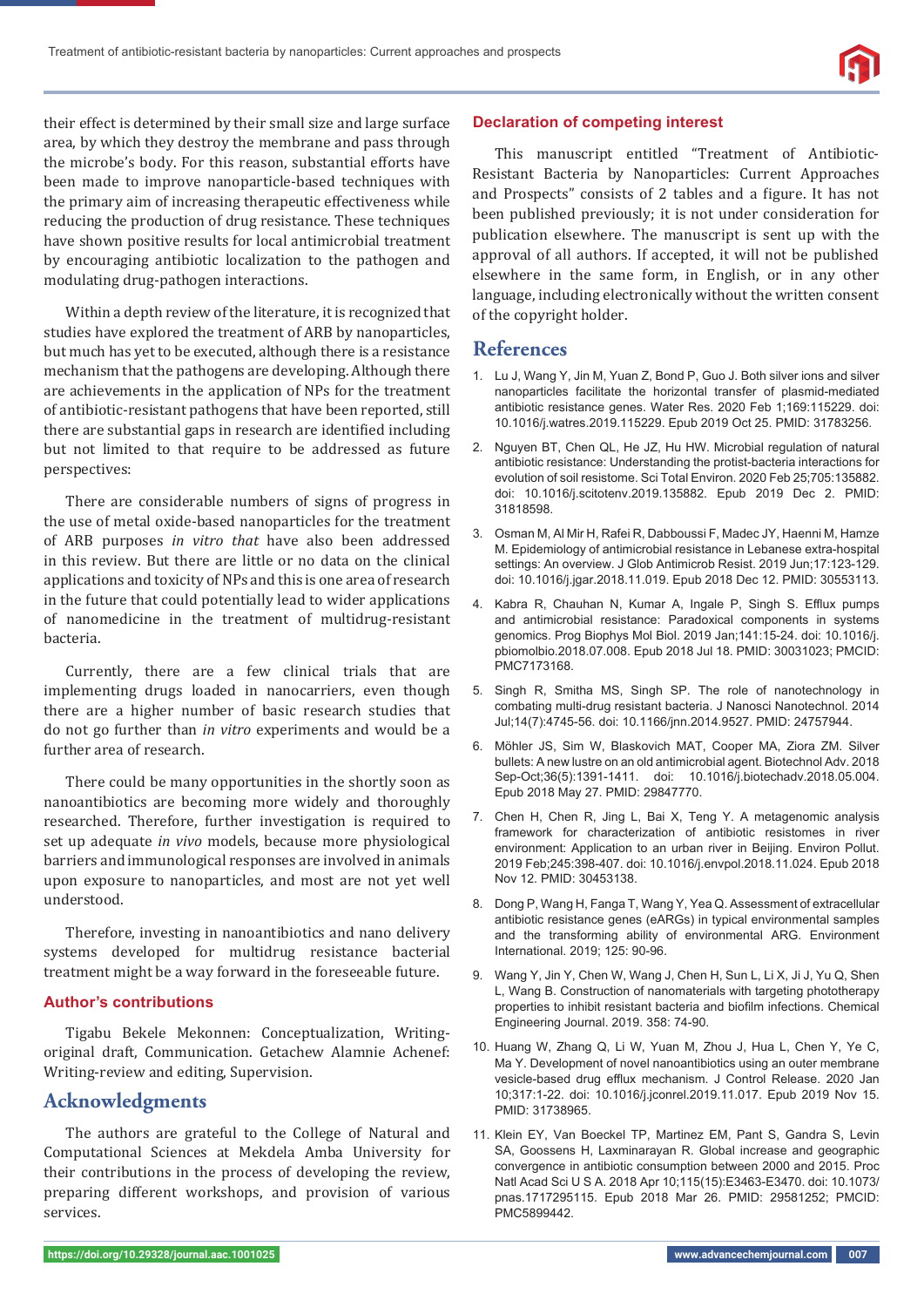

their effect is determined by their small size and large surface area, by which they destroy the membrane and pass through the microbe's body. For this reason, substantial efforts have been made to improve nanoparticle-based techniques with the primary aim of increasing therapeutic effectiveness while reducing the production of drug resistance. These techniques have shown positive results for local antimicrobial treatment by encouraging antibiotic localization to the pathogen and modulating drug-pathogen interactions.

Within a depth review of the literature, it is recognized that studies have explored the treatment of ARB by nanoparticles, but much has yet to be executed, although there is a resistance mechanism that the pathogens are developing. Although there are achievements in the application of NPs for the treatment of antibiotic-resistant pathogens that have been reported, still there are substantial gaps in research are identified including but not limited to that require to be addressed as future perspectives:

There are considerable numbers of signs of progress in the use of metal oxide-based nanoparticles for the treatment of ARB purposes *in vitro that* have also been addressed in this review. But there are little or no data on the clinical applications and toxicity of NPs and this is one area of research in the future that could potentially lead to wider applications of nanomedicine in the treatment of multidrug-resistant bacteria.

Currently, there are a few clinical trials that are implementing drugs loaded in nanocarriers, even though there are a higher number of basic research studies that do not go further than *in vitro* experiments and would be a further area of research.

There could be many opportunities in the shortly soon as nanoantibiotics are becoming more widely and thoroughly researched. Therefore, further investigation is required to set up adequate *in vivo* models, because more physiological barriers and immunological responses are involved in animals upon exposure to nanoparticles, and most are not yet well understood.

Therefore, investing in nanoantibiotics and nano delivery systems developed for multidrug resistance bacterial treatment might be a way forward in the foreseeable future.

## **Author's contributions**

Tigabu Bekele Mekonnen: Conceptualization, Writingoriginal draft, Communication. Getachew Alamnie Achenef: Writing-review and editing, Supervision.

## **Acknowledgments**

The authors are grateful to the College of Natural and Computational Sciences at Mekdela Amba University for their contributions in the process of developing the review, preparing different workshops, and provision of various services.

#### **Declaration of competing interest**

This manuscript entitled "Treatment of Antibiotic-Resistant Bacteria by Nanoparticles: Current Approaches and Prospects" consists of 2 tables and a figure. It has not been published previously; it is not under consideration for publication elsewhere. The manuscript is sent up with the approval of all authors. If accepted, it will not be published elsewhere in the same form, in English, or in any other language, including electronically without the written consent of the copyright holder.

# **References**

- 1. Lu J, Wang Y, Jin M, Yuan Z, Bond P, Guo J. Both silver ions and silver nanoparticles facilitate the horizontal transfer of plasmid-mediated antibiotic resistance genes. Water Res. 2020 Feb 1;169:115229. doi: 10.1016/j.watres.2019.115229. Epub 2019 Oct 25. PMID: 31783256.
- 2. Nguyen BT, Chen QL, He JZ, Hu HW. Microbial regulation of natural antibiotic resistance: Understanding the protist-bacteria interactions for evolution of soil resistome. Sci Total Environ. 2020 Feb 25;705:135882. doi: 10.1016/j.scitotenv.2019.135882. Epub 2019 Dec 2. PMID: 31818598.
- 3. Osman M, Al Mir H, Rafei R, Dabboussi F, Madec JY, Haenni M, Hamze M. Epidemiology of antimicrobial resistance in Lebanese extra-hospital settings: An overview. J Glob Antimicrob Resist. 2019 Jun;17:123-129. doi: 10.1016/j.jgar.2018.11.019. Epub 2018 Dec 12. PMID: 30553113.
- 4. Kabra R, Chauhan N, Kumar A, Ingale P, Singh S. Efflux pumps and antimicrobial resistance: Paradoxical components in systems genomics. Prog Biophys Mol Biol. 2019 Jan;141:15-24. doi: 10.1016/j. pbiomolbio.2018.07.008. Epub 2018 Jul 18. PMID: 30031023; PMCID: PMC7173168.
- 5. Singh R, Smitha MS, Singh SP. The role of nanotechnology in combating multi-drug resistant bacteria. J Nanosci Nanotechnol. 2014 Jul;14(7):4745-56. doi: 10.1166/jnn.2014.9527. PMID: 24757944.
- 6. Möhler JS, Sim W, Blaskovich MAT, Cooper MA, Ziora ZM. Silver bullets: A new lustre on an old antimicrobial agent. Biotechnol Adv. 2018 Sep-Oct;36(5):1391-1411. doi: 10.1016/j.biotechadv.2018.05.004. Epub 2018 May 27. PMID: 29847770.
- 7. Chen H, Chen R, Jing L, Bai X, Teng Y. A metagenomic analysis framework for characterization of antibiotic resistomes in river environment: Application to an urban river in Beijing. Environ Pollut. 2019 Feb;245:398-407. doi: 10.1016/j.envpol.2018.11.024. Epub 2018 Nov 12. PMID: 30453138.
- 8. Dong P, Wang H, Fanga T, Wang Y, Yea Q. Assessment of extracellular antibiotic resistance genes (eARGs) in typical environmental samples and the transforming ability of environmental ARG. Environment International. 2019; 125: 90-96.
- 9. Wang Y, Jin Y, Chen W, Wang J, Chen H, Sun L, Li X, Ji J, Yu Q, Shen L, Wang B. Construction of nanomaterials with targeting phototherapy properties to inhibit resistant bacteria and biofilm infections. Chemical Engineering Journal. 2019. 358: 74-90.
- 10. Huang W, Zhang Q, Li W, Yuan M, Zhou J, Hua L, Chen Y, Ye C, Ma Y. Development of novel nanoantibiotics using an outer membrane vesicle-based drug efflux mechanism. J Control Release. 2020 Jan 10;317:1-22. doi: 10.1016/j.jconrel.2019.11.017. Epub 2019 Nov 15. PMID: 31738965.
- 11. Klein EY, Van Boeckel TP, Martinez EM, Pant S, Gandra S, Levin SA, Goossens H, Laxminarayan R. Global increase and geographic convergence in antibiotic consumption between 2000 and 2015. Proc Natl Acad Sci U S A. 2018 Apr 10;115(15):E3463-E3470. doi: 10.1073/ pnas.1717295115. Epub 2018 Mar 26. PMID: 29581252; PMCID: PMC5899442.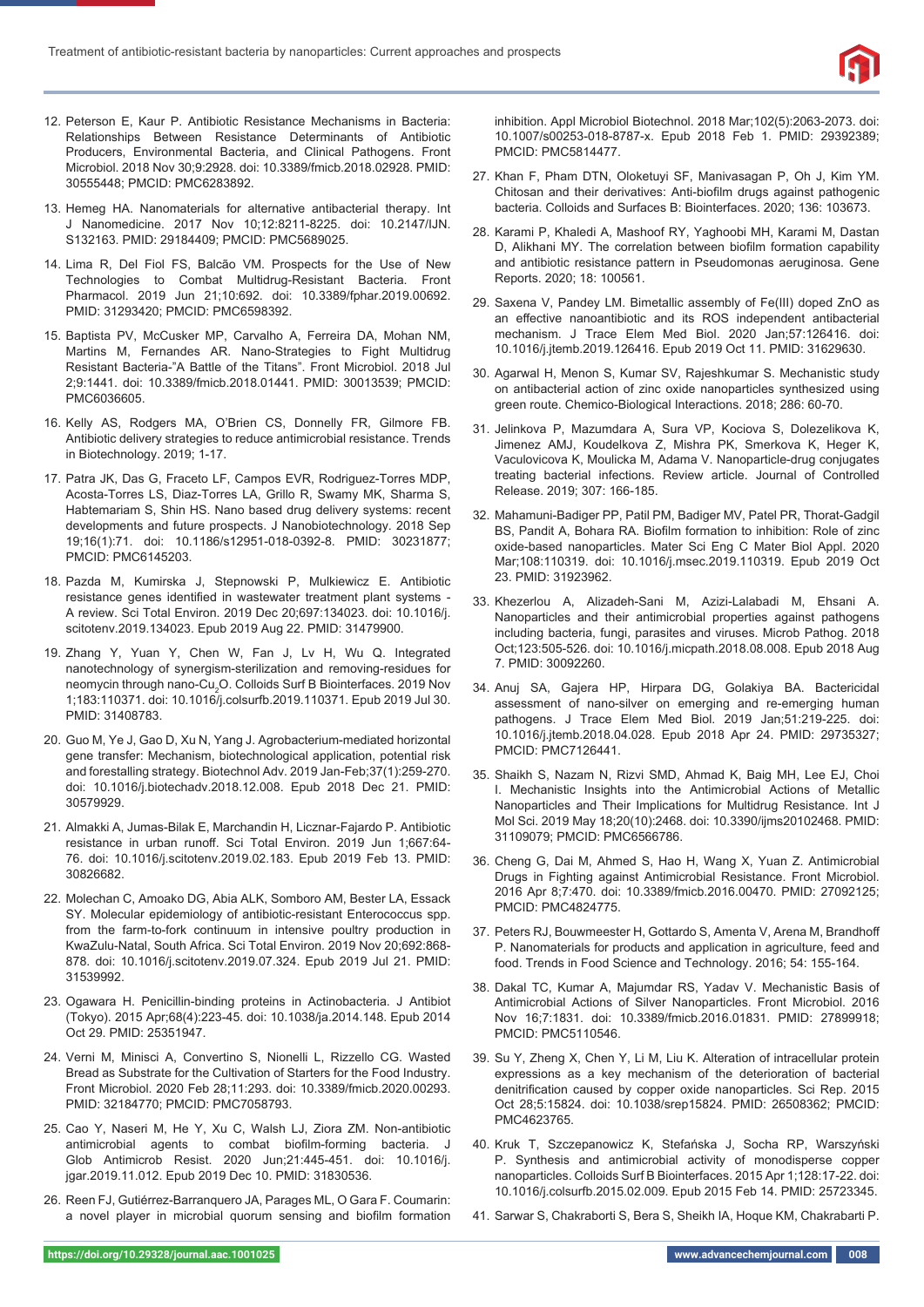

- 12. Peterson E, Kaur P. Antibiotic Resistance Mechanisms in Bacteria: Relationships Between Resistance Determinants of Antibiotic Producers, Environmental Bacteria, and Clinical Pathogens. Front Microbiol. 2018 Nov 30;9:2928. doi: 10.3389/fmicb.2018.02928. PMID: 30555448; PMCID: PMC6283892.
- 13. Hemeg HA. Nanomaterials for alternative antibacterial therapy. Int J Nanomedicine. 2017 Nov 10;12:8211-8225. doi: 10.2147/IJN. S132163. PMID: 29184409; PMCID: PMC5689025.
- 14. Lima R, Del Fiol FS, Balcão VM. Prospects for the Use of New Technologies to Combat Multidrug-Resistant Bacteria. Front Pharmacol. 2019 Jun 21;10:692. doi: 10.3389/fphar.2019.00692. PMID: 31293420; PMCID: PMC6598392.
- 15. Baptista PV, McCusker MP, Carvalho A, Ferreira DA, Mohan NM, Martins M, Fernandes AR. Nano-Strategies to Fight Multidrug Resistant Bacteria-"A Battle of the Titans". Front Microbiol. 2018 Jul 2;9:1441. doi: 10.3389/fmicb.2018.01441. PMID: 30013539; PMCID: PMC6036605.
- 16. Kelly AS, Rodgers MA, O'Brien CS, Donnelly FR, Gilmore FB. Antibiotic delivery strategies to reduce antimicrobial resistance. Trends in Biotechnology. 2019; 1-17.
- 17. Patra JK, Das G, Fraceto LF, Campos EVR, Rodriguez-Torres MDP, Acosta-Torres LS, Diaz-Torres LA, Grillo R, Swamy MK, Sharma S, Habtemariam S, Shin HS. Nano based drug delivery systems: recent developments and future prospects. J Nanobiotechnology. 2018 Sep 19;16(1):71. doi: 10.1186/s12951-018-0392-8. PMID: 30231877; PMCID: PMC6145203.
- 18. Pazda M, Kumirska J, Stepnowski P, Mulkiewicz E. Antibiotic resistance genes identified in wastewater treatment plant systems -A review. Sci Total Environ. 2019 Dec 20;697:134023. doi: 10.1016/j. scitotenv.2019.134023. Epub 2019 Aug 22. PMID: 31479900.
- 19. Zhang Y, Yuan Y, Chen W, Fan J, Lv H, Wu Q. Integrated nanotechnology of synergism-sterilization and removing-residues for neomycin through nano-Cu<sub>2</sub>O. Colloids Surf B Biointerfaces. 2019 Nov 1;183:110371. doi: 10.1016/j.colsurfb.2019.110371. Epub 2019 Jul 30. PMID: 31408783.
- 20. Guo M, Ye J, Gao D, Xu N, Yang J. Agrobacterium-mediated horizontal gene transfer: Mechanism, biotechnological application, potential risk and forestalling strategy. Biotechnol Adv. 2019 Jan-Feb;37(1):259-270. doi: 10.1016/j.biotechadv.2018.12.008. Epub 2018 Dec 21. PMID: 30579929.
- 21. Almakki A, Jumas-Bilak E, Marchandin H, Licznar-Fajardo P. Antibiotic resistance in urban runoff. Sci Total Environ. 2019 Jun 1;667:64-76. doi: 10.1016/j.scitotenv.2019.02.183. Epub 2019 Feb 13. PMID: 30826682.
- 22. Molechan C, Amoako DG, Abia ALK, Somboro AM, Bester LA, Essack SY. Molecular epidemiology of antibiotic-resistant Enterococcus spp. from the farm-to-fork continuum in intensive poultry production in KwaZulu-Natal, South Africa. Sci Total Environ. 2019 Nov 20;692:868- 878. doi: 10.1016/j.scitotenv.2019.07.324. Epub 2019 Jul 21. PMID: 31539992.
- 23. Ogawara H. Penicillin-binding proteins in Actinobacteria. J Antibiot (Tokyo). 2015 Apr;68(4):223-45. doi: 10.1038/ja.2014.148. Epub 2014 Oct 29. PMID: 25351947.
- 24. Verni M, Minisci A, Convertino S, Nionelli L, Rizzello CG. Wasted Bread as Substrate for the Cultivation of Starters for the Food Industry. Front Microbiol. 2020 Feb 28;11:293. doi: 10.3389/fmicb.2020.00293. PMID: 32184770; PMCID: PMC7058793.
- 25. Cao Y, Naseri M, He Y, Xu C, Walsh LJ, Ziora ZM. Non-antibiotic antimicrobial agents to combat biofilm-forming bacteria. J Glob Antimicrob Resist. 2020 Jun;21:445-451. doi: 10.1016/j. jgar.2019.11.012. Epub 2019 Dec 10. PMID: 31830536.
- 26. Reen FJ, Gutiérrez-Barranquero JA, Parages ML, O Gara F. Coumarin: a novel player in microbial quorum sensing and biofilm formation

inhibition. Appl Microbiol Biotechnol. 2018 Mar;102(5):2063-2073. doi: 10.1007/s00253-018-8787-x. Epub 2018 Feb 1. PMID: 29392389; PMCID: PMC5814477.

- 27. Khan F, Pham DTN, Oloketuyi SF, Manivasagan P, Oh J, Kim YM. Chitosan and their derivatives: Anti-biofilm drugs against pathogenic bacteria. Colloids and Surfaces B: Biointerfaces. 2020; 136: 103673.
- 28. Karami P, Khaledi A, Mashoof RY, Yaghoobi MH, Karami M, Dastan D, Alikhani MY. The correlation between biofilm formation capability and antibiotic resistance pattern in Pseudomonas aeruginosa. Gene Reports. 2020; 18: 100561.
- 29. Saxena V, Pandey LM. Bimetallic assembly of Fe(III) doped ZnO as an effective nanoantibiotic and its ROS independent antibacterial mechanism. J Trace Elem Med Biol. 2020 Jan;57:126416. doi: 10.1016/j.jtemb.2019.126416. Epub 2019 Oct 11. PMID: 31629630.
- 30. Agarwal H, Menon S, Kumar SV, Rajeshkumar S. Mechanistic study on antibacterial action of zinc oxide nanoparticles synthesized using green route. Chemico-Biological Interactions. 2018; 286: 60-70.
- 31. Jelinkova P, Mazumdara A, Sura VP, Kociova S, Dolezelikova K, Jimenez AMJ, Koudelkova Z, Mishra PK, Smerkova K, Heger K, Vaculovicova K, Moulicka M, Adama V. Nanoparticle-drug conjugates treating bacterial infections. Review article. Journal of Controlled Release. 2019; 307: 166-185.
- 32. Mahamuni-Badiger PP, Patil PM, Badiger MV, Patel PR, Thorat-Gadgil BS, Pandit A, Bohara RA. Biofilm formation to inhibition: Role of zinc oxide-based nanoparticles. Mater Sci Eng C Mater Biol Appl. 2020 Mar;108:110319. doi: 10.1016/j.msec.2019.110319. Epub 2019 Oct 23. PMID: 31923962.
- 33. Khezerlou A, Alizadeh-Sani M, Azizi-Lalabadi M, Ehsani A. Nanoparticles and their antimicrobial properties against pathogens including bacteria, fungi, parasites and viruses. Microb Pathog. 2018 Oct;123:505-526. doi: 10.1016/j.micpath.2018.08.008. Epub 2018 Aug 7. PMID: 30092260.
- 34. Anuj SA, Gajera HP, Hirpara DG, Golakiya BA. Bactericidal assessment of nano-silver on emerging and re-emerging human pathogens. J Trace Elem Med Biol. 2019 Jan;51:219-225. doi: 10.1016/j.jtemb.2018.04.028. Epub 2018 Apr 24. PMID: 29735327; PMCID: PMC7126441.
- 35. Shaikh S, Nazam N, Rizvi SMD, Ahmad K, Baig MH, Lee EJ, Choi I. Mechanistic Insights into the Antimicrobial Actions of Metallic Nanoparticles and Their Implications for Multidrug Resistance. Int J Mol Sci. 2019 May 18;20(10):2468. doi: 10.3390/ijms20102468. PMID: 31109079; PMCID: PMC6566786.
- 36. Cheng G, Dai M, Ahmed S, Hao H, Wang X, Yuan Z. Antimicrobial Drugs in Fighting against Antimicrobial Resistance. Front Microbiol. 2016 Apr 8;7:470. doi: 10.3389/fmicb.2016.00470. PMID: 27092125; PMCID: PMC4824775.
- 37. Peters RJ, Bouwmeester H, Gottardo S, Amenta V, Arena M, Brandhoff P. Nanomaterials for products and application in agriculture, feed and food. Trends in Food Science and Technology. 2016; 54: 155-164.
- 38. Dakal TC, Kumar A, Majumdar RS, Yadav V. Mechanistic Basis of Antimicrobial Actions of Silver Nanoparticles. Front Microbiol. 2016 Nov 16;7:1831. doi: 10.3389/fmicb.2016.01831. PMID: 27899918; PMCID: PMC5110546.
- 39. Su Y, Zheng X, Chen Y, Li M, Liu K. Alteration of intracellular protein expressions as a key mechanism of the deterioration of bacterial denitrification caused by copper oxide nanoparticles. Sci Rep. 2015 Oct 28;5:15824. doi: 10.1038/srep15824. PMID: 26508362; PMCID: PMC4623765.
- 40. Kruk T, Szczepanowicz K, Stefańska J, Socha RP, Warszyński P. Synthesis and antimicrobial activity of monodisperse copper nanoparticles. Colloids Surf B Biointerfaces. 2015 Apr 1;128:17-22. doi: 10.1016/j.colsurfb.2015.02.009. Epub 2015 Feb 14. PMID: 25723345.
- 41. Sarwar S, Chakraborti S, Bera S, Sheikh IA, Hoque KM, Chakrabarti P.